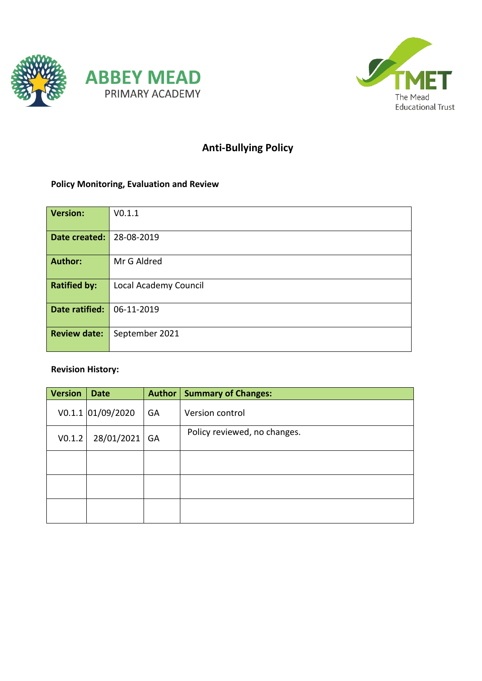



# **Anti-Bullying Policy**

# **Policy Monitoring, Evaluation and Review**

| <b>Version:</b>     | V0.1.1                |
|---------------------|-----------------------|
| Date created:       | 28-08-2019            |
| <b>Author:</b>      | Mr G Aldred           |
| <b>Ratified by:</b> | Local Academy Council |
| Date ratified:      | 06-11-2019            |
| <b>Review date:</b> | September 2021        |

# **Revision History:**

| <b>Version</b> | <b>Date</b>       | <b>Author</b> | <b>Summary of Changes:</b>   |
|----------------|-------------------|---------------|------------------------------|
|                | V0.1.1 01/09/2020 | GA            | Version control              |
| V0.1.2         | 28/01/2021        | GA            | Policy reviewed, no changes. |
|                |                   |               |                              |
|                |                   |               |                              |
|                |                   |               |                              |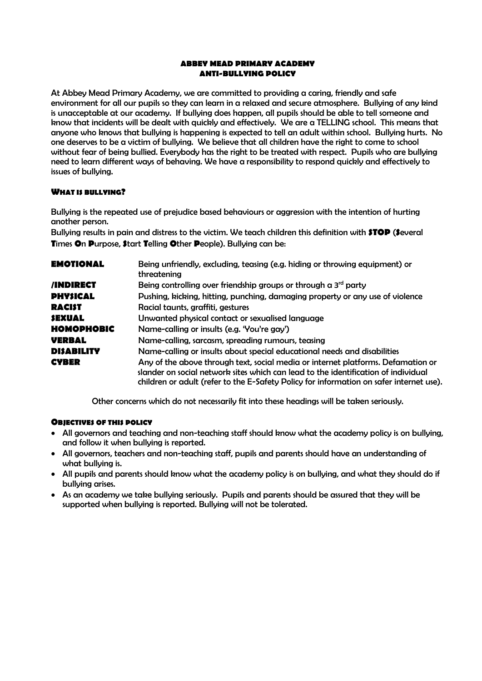#### **ABBEY MEAD PRIMARY ACADEMY ANTI-BULLYING POLICY**

At Abbey Mead Primary Academy, we are committed to providing a caring, friendly and safe environment for all our pupils so they can learn in a relaxed and secure atmosphere. Bullying of any kind is unacceptable at our academy. If bullying does happen, all pupils should be able to tell someone and know that incidents will be dealt with quickly and effectively. We are a TELLING school. This means that anyone who knows that bullying is happening is expected to tell an adult within school. Bullying hurts. No one deserves to be a victim of bullying. We believe that all children have the right to come to school without fear of being bullied. Everybody has the right to be treated with respect. Pupils who are bullying need to learn different ways of behaving. We have a responsibility to respond quickly and effectively to issues of bullying.

# **WHAT IS BULLYING?**

Bullying is the repeated use of prejudice based behaviours or aggression with the intention of hurting another person.

Bullying results in pain and distress to the victim. We teach children this definition with **STOP** (**S**everal **T**imes **O**n **P**urpose, **S**tart **T**elling **O**ther **P**eople). Bullying can be:

| Being unfriendly, excluding, teasing (e.g. hiding or throwing equipment) or<br>threatening                                                                                                                                                                        |
|-------------------------------------------------------------------------------------------------------------------------------------------------------------------------------------------------------------------------------------------------------------------|
| Being controlling over friendship groups or through a $3rd$ party                                                                                                                                                                                                 |
| Pushing, kicking, hitting, punching, damaging property or any use of violence                                                                                                                                                                                     |
| Racial taunts, graffiti, gestures                                                                                                                                                                                                                                 |
| Unwanted physical contact or sexualised language                                                                                                                                                                                                                  |
| Name-calling or insults (e.g. 'You're gay')                                                                                                                                                                                                                       |
| Name-calling, sarcasm, spreading rumours, teasing                                                                                                                                                                                                                 |
| Name-calling or insults about special educational needs and disabilities                                                                                                                                                                                          |
| Any of the above through text, social media or internet platforms. Defamation or<br>slander on social network sites which can lead to the identification of individual<br>children or adult (refer to the E-Safety Policy for information on safer internet use). |
|                                                                                                                                                                                                                                                                   |

Other concerns which do not necessarily fit into these headings will be taken seriously.

# **OBJECTIVES OF THIS POLICY**

- All governors and teaching and non-teaching staff should know what the academy policy is on bullying, and follow it when bullying is reported.
- All governors, teachers and non-teaching staff, pupils and parents should have an understanding of what bullying is.
- All pupils and parents should know what the academy policy is on bullying, and what they should do if bullying arises.
- As an academy we take bullying seriously. Pupils and parents should be assured that they will be supported when bullying is reported. Bullying will not be tolerated.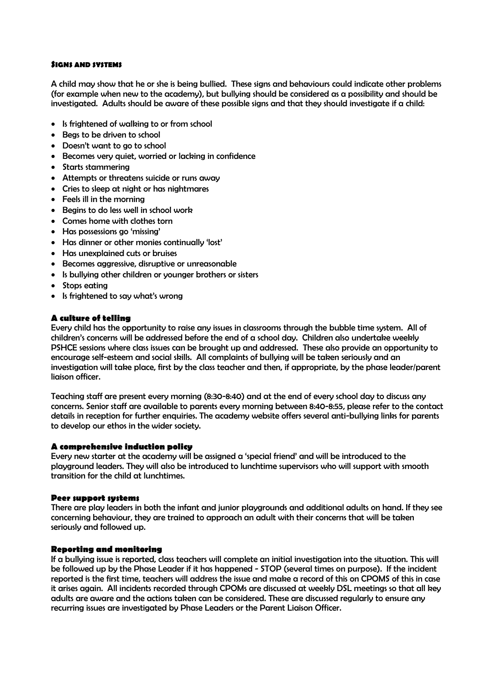### **SIGNS AND SYSTEMS**

A child may show that he or she is being bullied. These signs and behaviours could indicate other problems (for example when new to the academy), but bullying should be considered as a possibility and should be investigated. Adults should be aware of these possible signs and that they should investigate if a child:

- Is frightened of walking to or from school
- Begs to be driven to school
- Doesn't want to go to school
- Becomes very quiet, worried or lacking in confidence
- Starts stammering
- Attempts or threatens suicide or runs away
- Cries to sleep at night or has nightmares
- Feels ill in the morning
- Begins to do less well in school work
- Comes home with clothes torn
- Has possessions go 'missing'
- Has dinner or other monies continually 'lost'
- Has unexplained cuts or bruises
- Becomes aggressive, disruptive or unreasonable
- Is bullying other children or younger brothers or sisters
- Stops eating
- Is frightened to say what's wrong

# **A culture of telling**

Every child has the opportunity to raise any issues in classrooms through the bubble time system. All of children's concerns will be addressed before the end of a school day. Children also undertake weekly PSHCE sessions where class issues can be brought up and addressed. These also provide an opportunity to encourage self-esteem and social skills. All complaints of bullying will be taken seriously and an investigation will take place, first by the class teacher and then, if appropriate, by the phase leader/parent liaison officer.

Teaching staff are present every morning (8:30-8:40) and at the end of every school day to discuss any concerns. Senior staff are available to parents every morning between 8:40-8:55, please refer to the contact details in reception for further enquiries. The academy website offers several anti-bullying links for parents to develop our ethos in the wider society.

#### **A comprehensive induction policy**

Every new starter at the academy will be assigned a 'special friend' and will be introduced to the playground leaders. They will also be introduced to lunchtime supervisors who will support with smooth transition for the child at lunchtimes.

#### **Peer support systems**

There are play leaders in both the infant and junior playgrounds and additional adults on hand. If they see concerning behaviour, they are trained to approach an adult with their concerns that will be taken seriously and followed up.

#### **Reporting and monitoring**

If a bullying issue is reported, class teachers will complete an initial investigation into the situation. This will be followed up by the Phase Leader if it has happened - STOP (several times on purpose). If the incident reported is the first time, teachers will address the issue and make a record of this on CPOMS of this in case it arises again. All incidents recorded through CPOMs are discussed at weekly DSL meetings so that all key adults are aware and the actions taken can be considered. These are discussed regularly to ensure any recurring issues are investigated by Phase Leaders or the Parent Liaison Officer.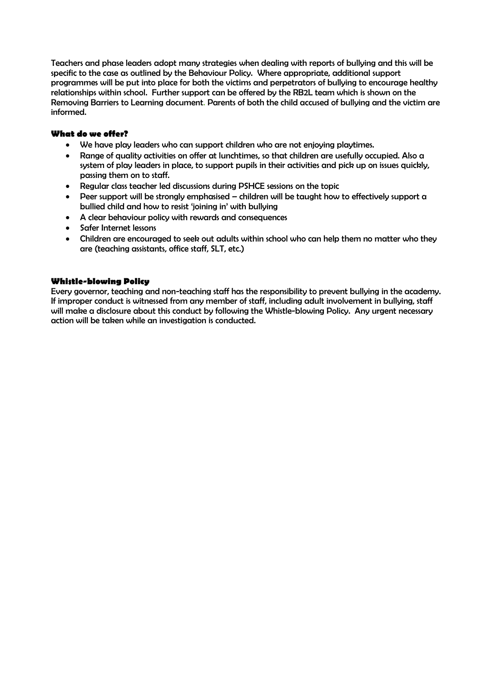Teachers and phase leaders adopt many strategies when dealing with reports of bullying and this will be specific to the case as outlined by the Behaviour Policy. Where appropriate, additional support programmes will be put into place for both the victims and perpetrators of bullying to encourage healthy relationships within school. Further support can be offered by the RB2L team which is shown on the Removing Barriers to Learning document. Parents of both the child accused of bullying and the victim are informed.

# **What do we offer?**

- We have play leaders who can support children who are not enjoying playtimes.
- Range of quality activities on offer at lunchtimes, so that children are usefully occupied. Also a system of play leaders in place, to support pupils in their activities and pick up on issues quickly, passing them on to staff.
- Regular class teacher led discussions during PSHCE sessions on the topic
- Peer support will be strongly emphasised children will be taught how to effectively support a bullied child and how to resist 'joining in' with bullying
- A clear behaviour policy with rewards and consequences
- Safer Internet lessons
- Children are encouraged to seek out adults within school who can help them no matter who they are (teaching assistants, office staff, SLT, etc.)

# **Whistle-blowing Policy**

Every governor, teaching and non-teaching staff has the responsibility to prevent bullying in the academy. If improper conduct is witnessed from any member of staff, including adult involvement in bullying, staff will make a disclosure about this conduct by following the Whistle-blowing Policy. Any urgent necessary action will be taken while an investigation is conducted.